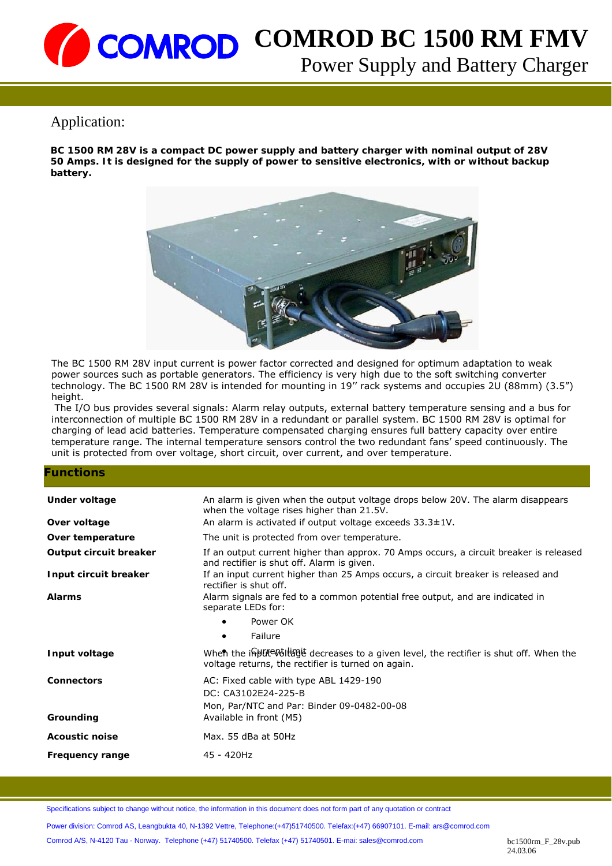## Application:

**BC 1500 RM 28V is a compact DC power supply and battery charger with nominal output of 28V 50 Amps. It is designed for the supply of power to sensitive electronics, with or without backup battery.** 



The BC 1500 RM 28V input current is power factor corrected and designed for optimum adaptation to weak power sources such as portable generators. The efficiency is very high due to the soft switching converter technology. The BC 1500 RM 28V is intended for mounting in 19'' rack systems and occupies 2U (88mm) (3.5") height.

 The I/O bus provides several signals: Alarm relay outputs, external battery temperature sensing and a bus for interconnection of multiple BC 1500 RM 28V in a redundant or parallel system. BC 1500 RM 28V is optimal for charging of lead acid batteries. Temperature compensated charging ensures full battery capacity over entire temperature range. The internal temperature sensors control the two redundant fans' speed continuously. The unit is protected from over voltage, short circuit, over current, and over temperature.

#### **Functions**

| Under voltage          | An alarm is given when the output voltage drops below 20V. The alarm disappears<br>when the voltage rises higher than 21.5V.                  |  |
|------------------------|-----------------------------------------------------------------------------------------------------------------------------------------------|--|
| Over voltage           | An alarm is activated if output voltage exceeds $33.3 \pm 1$ V.                                                                               |  |
| Over temperature       | The unit is protected from over temperature.                                                                                                  |  |
| Output circuit breaker | If an output current higher than approx. 70 Amps occurs, a circuit breaker is released<br>and rectifier is shut off. Alarm is given.          |  |
| Input circuit breaker  | If an input current higher than 25 Amps occurs, a circuit breaker is released and<br>rectifier is shut off.                                   |  |
| <b>Alarms</b>          | Alarm signals are fed to a common potential free output, and are indicated in<br>separate LEDs for:                                           |  |
|                        | Power OK<br>$\bullet$                                                                                                                         |  |
|                        | Failure<br>$\bullet$                                                                                                                          |  |
| Input voltage          | When the inpute wolling decreases to a given level, the rectifier is shut off. When the<br>voltage returns, the rectifier is turned on again. |  |
| <b>Connectors</b>      | AC: Fixed cable with type ABL 1429-190<br>DC: CA3102E24-225-B<br>Mon, Par/NTC and Par: Binder 09-0482-00-08                                   |  |
| Grounding              | Available in front (M5)                                                                                                                       |  |
| <b>Acoustic noise</b>  | Max. 55 dBa at 50Hz                                                                                                                           |  |
| Frequency range        | 45 - 420Hz                                                                                                                                    |  |

Specifications subject to change without notice, the information in this document does not form part of any quotation or contract

Power division: Comrod AS, Leangbukta 40, N-1392 Vettre, Telephone:(+47)51740500. Telefax:(+47) 66907101. E-mail: ars@comrod.com

Comrod A/S, N-4120 Tau - Norway. Telephone (+47) 51740500. Telefax (+47) 51740501. E-mai: sales@comrod.com